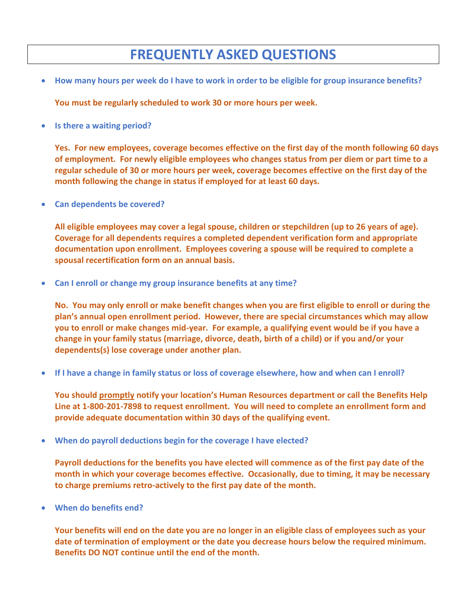## **FREQUENTLY ASKED QUESTIONS**

• **How many hours per week do I have to work in order to be eligible for group insurance benefits?**

**You must be regularly scheduled to work 30 or more hours per week.**

• **Is there a waiting period?**

**Yes. For new employees, coverage becomes effective on the first day of the month following 60 days of employment. For newly eligible employees who changes status from per diem or part time to a regular schedule of 30 or more hours per week, coverage becomes effective on the first day of the month following the change in status if employed for at least 60 days.**

• **Can dependents be covered?**

**All eligible employees may cover a legal spouse, children or stepchildren (up to 26 years of age). Coverage for all dependents requires a completed dependent verification form and appropriate documentation upon enrollment. Employees covering a spouse will be required to complete a spousal recertification form on an annual basis.**

• **Can I enroll or change my group insurance benefits at any time?**

**No. You may only enroll or make benefit changes when you are first eligible to enroll or during the plan's annual open enrollment period. However, there are special circumstances which may allow you to enroll or make changes mid-year. For example, a qualifying event would be if you have a change in your family status (marriage, divorce, death, birth of a child) or if you and/or your dependents(s) lose coverage under another plan.**

• **If I have a change in family status or loss of coverage elsewhere, how and when can I enroll?**

**You should promptly notify your location's Human Resources department or call the Benefits Help Line at 1-800-201-7898 to request enrollment. You will need to complete an enrollment form and provide adequate documentation within 30 days of the qualifying event.**

• **When do payroll deductions begin for the coverage I have elected?**

**Payroll deductions for the benefits you have elected will commence as of the first pay date of the month in which your coverage becomes effective. Occasionally, due to timing, it may be necessary to charge premiums retro-actively to the first pay date of the month.**

• **When do benefits end?**

**Your benefits will end on the date you are no longer in an eligible class of employees such as your date of termination of employment or the date you decrease hours below the required minimum. Benefits DO NOT continue until the end of the month.**